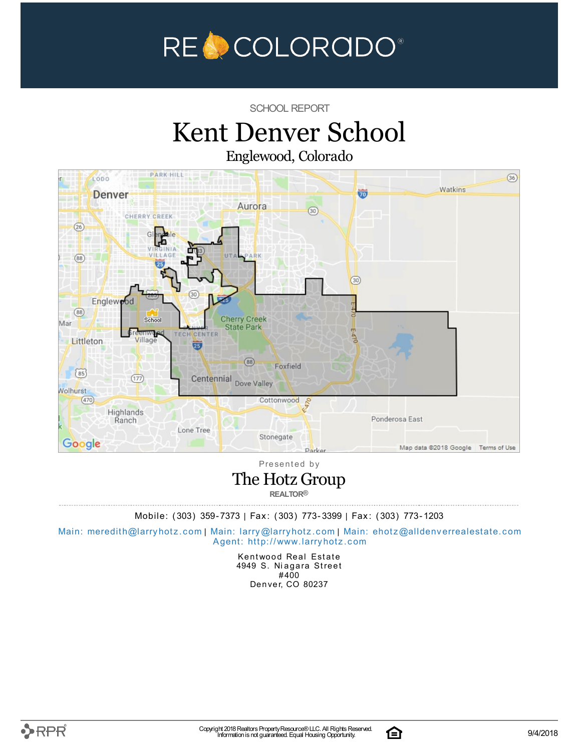

SCHOOL REPORT

### Kent Denver School Englewood, Colorado



Presented by

### The Hotz Group

**REALTOR®**

Mobile: (303) 359-7373 | Fax: (303) 773-3399 | Fax: (303) 773-1203

Main: meredith@la[rry](mailto:larry@larryhotz.com)hotz.com | Main: larry@larryhotz.com | Main: ehotz@alldenve[rre](mailto:ehotz@alldenverrealestate.com)alestate.com Agent: http://[www.](http://www.larryhotz.com)larryhotz.com

> Kentwood Real Estate 4949 S. Niagara Street #400 Denver, CO 80237

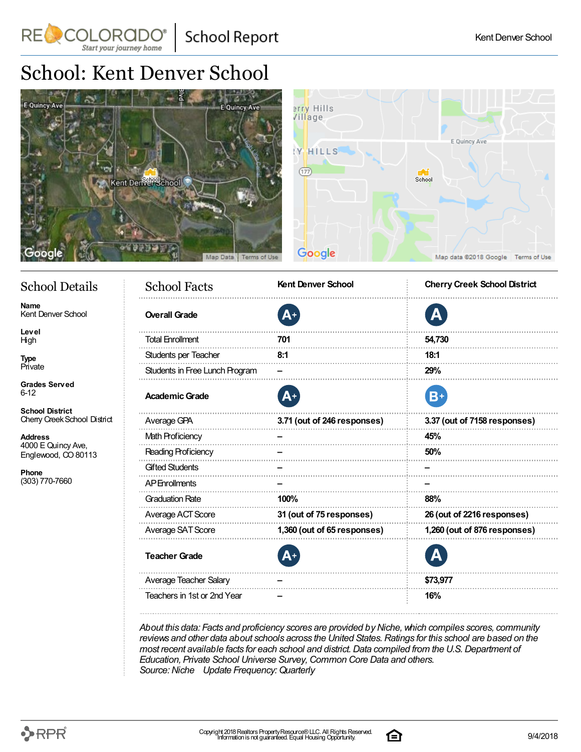**School Report** 

## School: Kent Denver School

Start your journey home

RE COLORADO®



| <b>School Facts</b><br>Details |                                | <b>Kent Denver School</b>   | <b>Cherry Creek School District</b> |  |  |
|--------------------------------|--------------------------------|-----------------------------|-------------------------------------|--|--|
| <b>School</b>                  | <b>Overall Grade</b>           | Д+                          | Д                                   |  |  |
|                                | <b>Total Enrollment</b>        | 701                         | 54,730                              |  |  |
|                                | Students per Teacher           | 8:1                         | 18:1                                |  |  |
|                                | Students in Free Lunch Program |                             | 29%                                 |  |  |
| ved                            | <b>Academic Grade</b>          | Д+                          | B+                                  |  |  |
| rict<br>School District        | Average GPA                    | 3.71 (out of 246 responses) | 3.37 (out of 7158 responses)        |  |  |
|                                | <b>Math Proficiency</b>        |                             | 45%                                 |  |  |
| ncy Ave,<br>CO 80113           | Reading Proficiency            |                             | 50%                                 |  |  |
|                                | <b>Gifted Students</b>         |                             |                                     |  |  |
| 60                             | <b>AP</b> Enrollments          |                             |                                     |  |  |
|                                | <b>Graduation Rate</b>         | 100%                        | 88%                                 |  |  |
|                                | Average ACT Score              | 31 (out of 75 responses)    | 26 (out of 2216 responses)          |  |  |
|                                | Average SAT Score              | 1,360 (out of 65 responses) | 1,260 (out of 876 responses)        |  |  |
|                                | <b>Teacher Grade</b>           |                             |                                     |  |  |
|                                | Average Teacher Salary         |                             | \$73,977                            |  |  |
|                                | Teachers in 1st or 2nd Year    |                             | 16%                                 |  |  |

*About this data: Facts and proficiency scores are provided byNiche,which compiles scores, community reviews and other data about schools across the United States.Ratings for this school are based on the most recent available facts for each school and district.Data compiled from the U.S.Department of Education, Private School Universe Survey,Common Core Data and others. Source:Niche Update Frequency:Quarterly*

### School 1

**Name** Kent Denver

**Level** High

**Type** Private

**Grades** Serve 6-12

**School Distr** Cherry Creek

**Address** 4000 E Quin Englewood,

**Phone** (303) 770-76

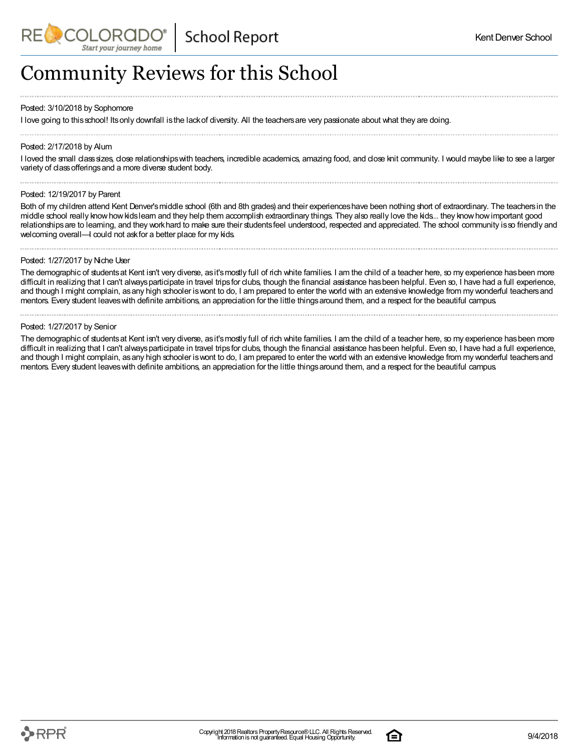## Community Reviews for this School

#### Posted: 3/10/2018 by Sophomore

I love going to thisschool! Itsonly downfall isthe lackof diversity. All the teachersare very passionate about what they are doing.

#### Posted: 2/17/2018 by Alum

I loved the small class sizes, close relationships with teachers, incredible academics, amazing food, and close knit community. I would maybe like to see a larger variety of classofferingsand a more diverse student body.

#### Posted: 12/19/2017 by Parent

Both of my children attend Kent Denver'smiddle school (6th and 8th grades) and their experienceshave been nothing short of extraordinary. The teachersin the middle school really knowhowkidslearn and they help them accomplish extraordinary things. They also really love the kids... they knowhowimportant good relationships are to learning, and they workhard to make sure their students feel understood, respected and appreciated. The school community is so friendly and welcoming overall—I could not askfor a better place for my kids.

#### Posted: 1/27/2017 by Niche User

The demographic of students at Kent isn't very diverse, as it's mostly full of rich white families. I am the child of a teacher here, so my experience has been more difficult in realizing that I can't always participate in travel trips for clubs, though the financial assistance has been helpful. Even so, I have had a full experience, and though I might complain, asany high schooler iswont to do, I am prepared to enter the world with an extensive knowledge from my wonderful teachersand mentors. Every student leaves with definite ambitions, an appreciation for the little things around them, and a respect for the beautiful campus.

#### Posted: 1/27/2017 by Senior

The demographic of students at Kent isn't very diverse, as it's mostly full of rich white families. I am the child of a teacher here, so my experience has been more difficult in realizing that I can't always participate in travel trips for clubs, though the financial assistance has been helpful. Even so, I have had a full experience, and though I might complain, asany high schooler iswont to do, I am prepared to enter the world with an extensive knowledge from my wonderful teachersand mentors. Every student leaves with definite ambitions, an appreciation for the little things around them, and a respect for the beautiful campus.

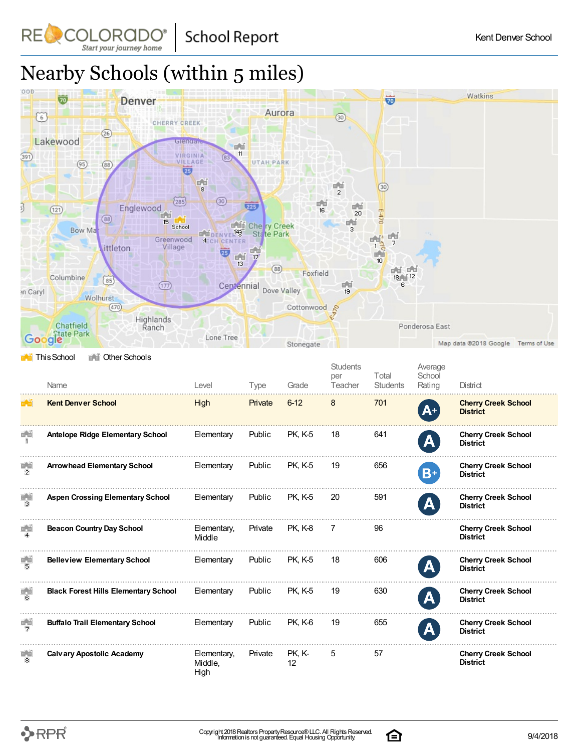**School Report** 

# Nearby Schools (within 5 miles)

COLORADO

Start your journey home

RE



|                      | Name                                        | Level                          | Type    | Grade          | <b>Students</b><br>per<br>Teacher | Total<br><b>Students</b> | Average<br>School<br>Rating | District                                      |
|----------------------|---------------------------------------------|--------------------------------|---------|----------------|-----------------------------------|--------------------------|-----------------------------|-----------------------------------------------|
| 55                   | <b>Kent Denver School</b>                   | High                           | Private | $6 - 12$       | 8                                 | 701                      | $A^+$                       | <b>Cherry Creek School</b><br><b>District</b> |
| ĒŬ                   | <b>Antelope Ridge Elementary School</b>     | Elementary                     | Public  | <b>PK. K-5</b> | 18                                | 641                      | A                           | <b>Cherry Creek School</b><br><b>District</b> |
| 重道<br>$\overline{2}$ | <b>Arrowhead Elementary School</b>          | Elementary                     | Public  | <b>PK. K-5</b> | 19                                | 656                      | $B+$                        | <b>Cherry Creek School</b><br><b>District</b> |
| F.J                  | <b>Aspen Crossing Elementary School</b>     | Elementary                     | Public  | <b>PK, K-5</b> | 20                                | 591                      | A                           | <b>Cherry Creek School</b><br><b>District</b> |
| 首前                   | <b>Beacon Country Day School</b>            | Elementary,<br>Middle          | Private | PK, K-8        | 7                                 | 96                       |                             | <b>Cherry Creek School</b><br><b>District</b> |
| 懵                    | <b>Belleview Elementary School</b>          | Elementary                     | Public  | <b>PK. K-5</b> | 18                                | 606                      | A                           | <b>Cherry Creek School</b><br><b>District</b> |
| 高                    | <b>Black Forest Hills Elementary School</b> | Elementary                     | Public  | <b>PK, K-5</b> | 19                                | 630                      | $\mathbf{A}$                | <b>Cherry Creek School</b><br><b>District</b> |
| $\frac{1}{2}$        | <b>Buffalo Trail Elementary School</b>      | Elementary                     | Public  | PK. K-6        | 19                                | 655                      | A                           | <b>Cherry Creek School</b><br><b>District</b> |
| ÉĚ<br>8              | <b>Calvary Apostolic Academy</b>            | Elementary,<br>Middle.<br>High | Private | PK, K-<br>12   | 5                                 | 57                       |                             | <b>Cherry Creek School</b><br><b>District</b> |